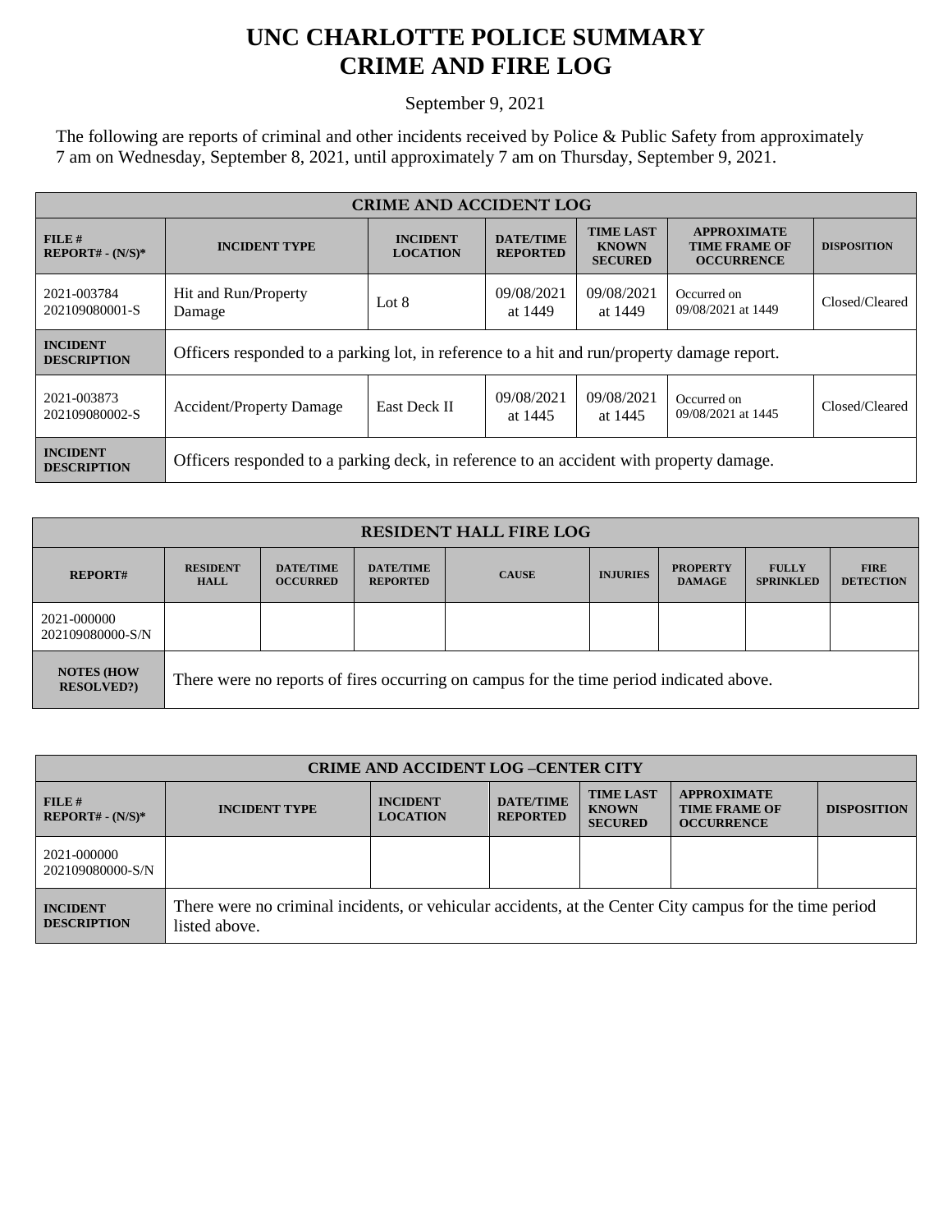## **UNC CHARLOTTE POLICE SUMMARY CRIME AND FIRE LOG**

September 9, 2021

The following are reports of criminal and other incidents received by Police & Public Safety from approximately 7 am on Wednesday, September 8, 2021, until approximately 7 am on Thursday, September 9, 2021.

| <b>CRIME AND ACCIDENT LOG</b>         |                                                                                            |                                                                        |                                     |                                                    |                                                                 |                    |
|---------------------------------------|--------------------------------------------------------------------------------------------|------------------------------------------------------------------------|-------------------------------------|----------------------------------------------------|-----------------------------------------------------------------|--------------------|
| FILE#<br>$REPORT# - (N/S)*$           | <b>INCIDENT TYPE</b>                                                                       | <b>INCIDENT</b><br><b>LOCATION</b>                                     | <b>DATE/TIME</b><br><b>REPORTED</b> | <b>TIME LAST</b><br><b>KNOWN</b><br><b>SECURED</b> | <b>APPROXIMATE</b><br><b>TIME FRAME OF</b><br><b>OCCURRENCE</b> | <b>DISPOSITION</b> |
| 2021-003784<br>202109080001-S         | Hit and Run/Property<br>Damage                                                             | 09/08/2021<br>09/08/2021<br>Occurred on<br>Lot 8<br>at 1449<br>at 1449 |                                     | 09/08/2021 at 1449                                 | Closed/Cleared                                                  |                    |
| <b>INCIDENT</b><br><b>DESCRIPTION</b> | Officers responded to a parking lot, in reference to a hit and run/property damage report. |                                                                        |                                     |                                                    |                                                                 |                    |
| 2021-003873<br>202109080002-S         | <b>Accident/Property Damage</b>                                                            | <b>East Deck II</b>                                                    | 09/08/2021<br>at 1445               | 09/08/2021<br>at 1445                              | Occurred on<br>09/08/2021 at 1445                               | Closed/Cleared     |
| <b>INCIDENT</b><br><b>DESCRIPTION</b> | Officers responded to a parking deck, in reference to an accident with property damage.    |                                                                        |                                     |                                                    |                                                                 |                    |

| <b>RESIDENT HALL FIRE LOG</b>          |                                                                                         |                                     |                                     |              |                 |                                  |                                  |                                 |
|----------------------------------------|-----------------------------------------------------------------------------------------|-------------------------------------|-------------------------------------|--------------|-----------------|----------------------------------|----------------------------------|---------------------------------|
| <b>REPORT#</b>                         | <b>RESIDENT</b><br><b>HALL</b>                                                          | <b>DATE/TIME</b><br><b>OCCURRED</b> | <b>DATE/TIME</b><br><b>REPORTED</b> | <b>CAUSE</b> | <b>INJURIES</b> | <b>PROPERTY</b><br><b>DAMAGE</b> | <b>FULLY</b><br><b>SPRINKLED</b> | <b>FIRE</b><br><b>DETECTION</b> |
| 2021-000000<br>202109080000-S/N        |                                                                                         |                                     |                                     |              |                 |                                  |                                  |                                 |
| <b>NOTES (HOW</b><br><b>RESOLVED?)</b> | There were no reports of fires occurring on campus for the time period indicated above. |                                     |                                     |              |                 |                                  |                                  |                                 |

| <b>CRIME AND ACCIDENT LOG -CENTER CITY</b> |                                                                                                                          |                                    |                                     |                                                    |                                                                 |                    |  |
|--------------------------------------------|--------------------------------------------------------------------------------------------------------------------------|------------------------------------|-------------------------------------|----------------------------------------------------|-----------------------------------------------------------------|--------------------|--|
| FILE#<br>$REPORT# - (N/S)*$                | <b>INCIDENT TYPE</b>                                                                                                     | <b>INCIDENT</b><br><b>LOCATION</b> | <b>DATE/TIME</b><br><b>REPORTED</b> | <b>TIME LAST</b><br><b>KNOWN</b><br><b>SECURED</b> | <b>APPROXIMATE</b><br><b>TIME FRAME OF</b><br><b>OCCURRENCE</b> | <b>DISPOSITION</b> |  |
| 2021-000000<br>202109080000-S/N            |                                                                                                                          |                                    |                                     |                                                    |                                                                 |                    |  |
| <b>INCIDENT</b><br><b>DESCRIPTION</b>      | There were no criminal incidents, or vehicular accidents, at the Center City campus for the time period<br>listed above. |                                    |                                     |                                                    |                                                                 |                    |  |